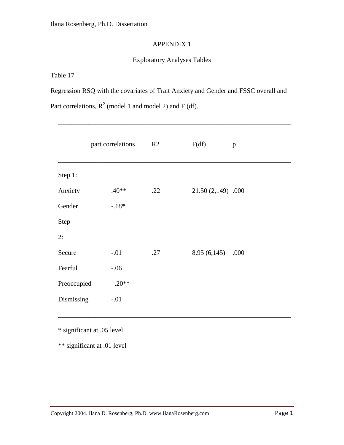#### APPENDIX 1

## Exploratory Analyses Tables

Table 17

Regression RSQ with the covariates of Trait Anxiety and Gender and FSSC overall and

\_\_\_\_\_\_\_\_\_\_\_\_\_\_\_\_\_\_\_\_\_\_\_\_\_\_\_\_\_\_\_\_\_\_\_\_\_\_\_\_\_\_\_\_\_\_\_\_\_\_\_\_\_\_\_\_\_\_\_\_\_\_\_\_\_\_\_\_\_

Part correlations,  $R^2$  (model 1 and model 2) and F (df).

|             | part correlations | R2  | F(df)              | p    |
|-------------|-------------------|-----|--------------------|------|
| Step 1:     |                   |     |                    |      |
| Anxiety     | $.40**$           | .22 | 21.50 (2,149) .000 |      |
| Gender      | $-.18*$           |     |                    |      |
| Step        |                   |     |                    |      |
| 2:          |                   |     |                    |      |
| Secure      | $-.01$            | .27 | 8.95(6,145)        | .000 |
| Fearful     | $-.06$            |     |                    |      |
| Preoccupied | $.20**$           |     |                    |      |
| Dismissing  | $-.01$            |     |                    |      |

\_\_\_\_\_\_\_\_\_\_\_\_\_\_\_\_\_\_\_\_\_\_\_\_\_\_\_\_\_\_\_\_\_\_\_\_\_\_\_\_\_\_\_\_\_\_\_\_\_\_\_\_\_\_\_\_\_\_\_\_\_\_\_\_\_\_\_\_\_

\* significant at .05 level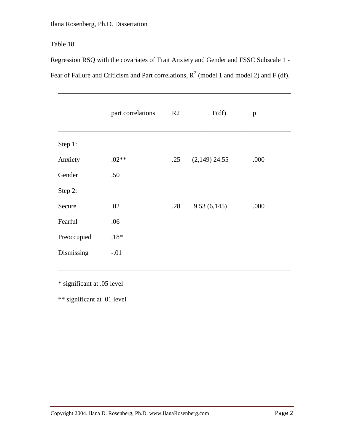# Table 18

Regression RSQ with the covariates of Trait Anxiety and Gender and FSSC Subscale 1 - Fear of Failure and Criticism and Part correlations,  $R^2$  (model 1 and model 2) and F (df).

\_\_\_\_\_\_\_\_\_\_\_\_\_\_\_\_\_\_\_\_\_\_\_\_\_\_\_\_\_\_\_\_\_\_\_\_\_\_\_\_\_\_\_\_\_\_\_\_\_\_\_\_\_\_\_\_\_\_\_\_\_\_\_\_\_\_\_\_\_

|             | part correlations | R2  | F(df)           | $\mathbf{p}$ |
|-------------|-------------------|-----|-----------------|--------------|
| Step 1:     |                   |     |                 |              |
| Anxiety     | $.02**$           | .25 | $(2,149)$ 24.55 | .000         |
| Gender      | .50               |     |                 |              |
| Step 2:     |                   |     |                 |              |
| Secure      | .02               | .28 | 9.53(6,145)     | .000         |
| Fearful     | .06               |     |                 |              |
| Preoccupied | $.18*$            |     |                 |              |
| Dismissing  | $-.01$            |     |                 |              |

\* significant at .05 level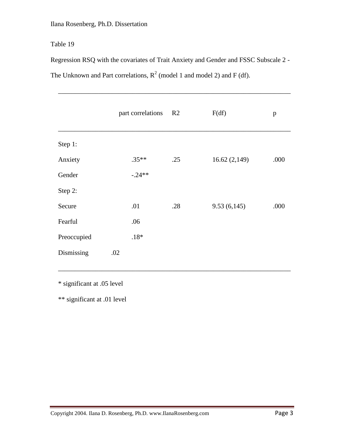# Table 19

Regression RSQ with the covariates of Trait Anxiety and Gender and FSSC Subscale 2 - The Unknown and Part correlations,  $R^2$  (model 1 and model 2) and F (df).

\_\_\_\_\_\_\_\_\_\_\_\_\_\_\_\_\_\_\_\_\_\_\_\_\_\_\_\_\_\_\_\_\_\_\_\_\_\_\_\_\_\_\_\_\_\_\_\_\_\_\_\_\_\_\_\_\_\_\_\_\_\_\_\_\_\_\_\_\_

|             |     | part correlations | R <sub>2</sub> | F(df)        | $\mathbf{p}$ |
|-------------|-----|-------------------|----------------|--------------|--------------|
| Step 1:     |     |                   |                |              |              |
| Anxiety     |     | $.35**$           | .25            | 16.62(2,149) | .000         |
| Gender      |     | $-.24**$          |                |              |              |
| Step 2:     |     |                   |                |              |              |
| Secure      |     | .01               | .28            | 9.53(6,145)  | .000         |
| Fearful     |     | .06               |                |              |              |
| Preoccupied |     | $.18*$            |                |              |              |
| Dismissing  | .02 |                   |                |              |              |

\_\_\_\_\_\_\_\_\_\_\_\_\_\_\_\_\_\_\_\_\_\_\_\_\_\_\_\_\_\_\_\_\_\_\_\_\_\_\_\_\_\_\_\_\_\_\_\_\_\_\_\_\_\_\_\_\_\_\_\_\_\_\_\_\_\_\_\_\_

\* significant at .05 level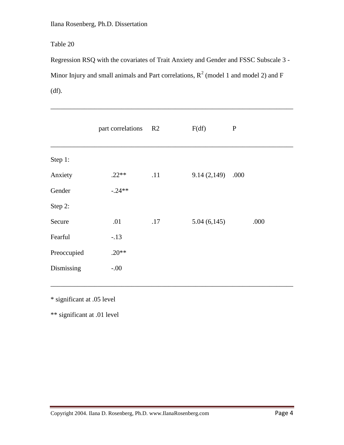Table 20

Regression RSQ with the covariates of Trait Anxiety and Gender and FSSC Subscale 3 - Minor Injury and small animals and Part correlations,  $R^2$  (model 1 and model 2) and F (df).

\_\_\_\_\_\_\_\_\_\_\_\_\_\_\_\_\_\_\_\_\_\_\_\_\_\_\_\_\_\_\_\_\_\_\_\_\_\_\_\_\_\_\_\_\_\_\_\_\_\_\_\_\_\_\_\_\_\_\_\_\_\_\_\_\_\_\_\_\_\_\_\_

|             | part correlations | R <sub>2</sub> | F(df)       | $\mathbf{P}$ |
|-------------|-------------------|----------------|-------------|--------------|
| Step 1:     |                   |                |             |              |
| Anxiety     | $.22**$           | .11            | 9.14(2,149) | .000         |
| Gender      | $-.24**$          |                |             |              |
| Step 2:     |                   |                |             |              |
| Secure      | .01               | .17            | 5.04(6,145) | .000         |
| Fearful     | $-13$             |                |             |              |
| Preoccupied | $.20**$           |                |             |              |
| Dismissing  | $-00$             |                |             |              |

\* significant at .05 level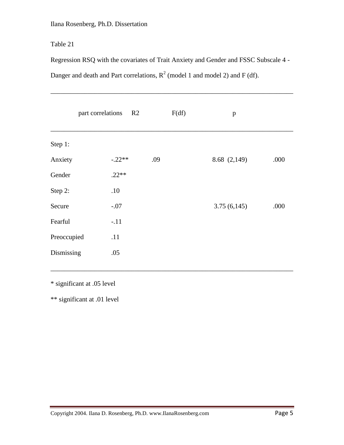## Table 21

Regression RSQ with the covariates of Trait Anxiety and Gender and FSSC Subscale 4 - Danger and death and Part correlations,  $R^2$  (model 1 and model 2) and F (df).

\_\_\_\_\_\_\_\_\_\_\_\_\_\_\_\_\_\_\_\_\_\_\_\_\_\_\_\_\_\_\_\_\_\_\_\_\_\_\_\_\_\_\_\_\_\_\_\_\_\_\_\_\_\_\_\_\_\_\_\_\_\_\_\_\_\_\_\_\_\_\_\_

|             | part correlations | R <sub>2</sub> | F(df) | p            |      |
|-------------|-------------------|----------------|-------|--------------|------|
| Step 1:     |                   |                |       |              |      |
| Anxiety     | $-.22**$          | .09            |       | 8.68 (2,149) | .000 |
| Gender      | $.22**$           |                |       |              |      |
| Step 2:     | .10               |                |       |              |      |
| Secure      | $-.07$            |                |       | 3.75(6,145)  | .000 |
| Fearful     | $-.11$            |                |       |              |      |
| Preoccupied | .11               |                |       |              |      |
| Dismissing  | .05               |                |       |              |      |

\* significant at .05 level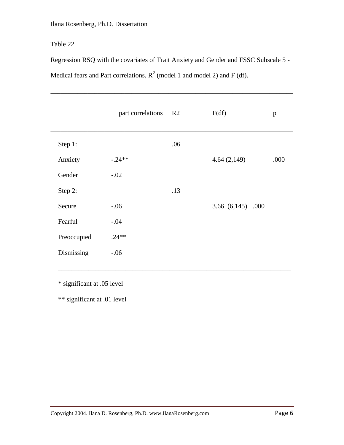# Table 22

Regression RSQ with the covariates of Trait Anxiety and Gender and FSSC Subscale 5 - Medical fears and Part correlations,  $R^2$  (model 1 and model 2) and F (df).

\_\_\_\_\_\_\_\_\_\_\_\_\_\_\_\_\_\_\_\_\_\_\_\_\_\_\_\_\_\_\_\_\_\_\_\_\_\_\_\_\_\_\_\_\_\_\_\_\_\_\_\_\_\_\_\_\_\_\_\_\_\_\_\_\_\_\_\_\_\_\_\_

|             | part correlations | R2  | F(df)             | p    |
|-------------|-------------------|-----|-------------------|------|
| Step 1:     |                   | .06 |                   |      |
| Anxiety     | $-.24**$          |     | 4.64(2,149)       | .000 |
| Gender      | $-.02$            |     |                   |      |
| Step 2:     |                   | .13 |                   |      |
| Secure      | $-.06$            |     | 3.66 (6,145) .000 |      |
| Fearful     | $-.04$            |     |                   |      |
| Preoccupied | $.24**$           |     |                   |      |
| Dismissing  | $-.06$            |     |                   |      |

\* significant at .05 level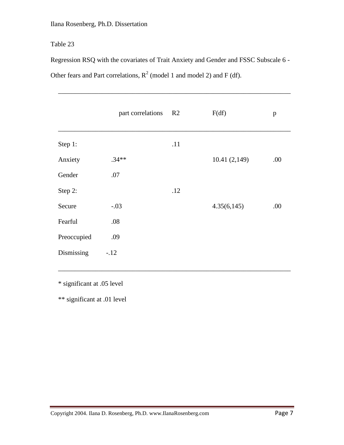## Table 23

Regression RSQ with the covariates of Trait Anxiety and Gender and FSSC Subscale 6 - Other fears and Part correlations,  $R^2$  (model 1 and model 2) and F (df).

\_\_\_\_\_\_\_\_\_\_\_\_\_\_\_\_\_\_\_\_\_\_\_\_\_\_\_\_\_\_\_\_\_\_\_\_\_\_\_\_\_\_\_\_\_\_\_\_\_\_\_\_\_\_\_\_\_\_\_\_\_\_\_\_\_\_\_\_\_

|             | part correlations R2 |     | F(df)        | $\mathbf{p}$ |
|-------------|----------------------|-----|--------------|--------------|
| Step 1:     |                      | .11 |              |              |
| Anxiety     | $.34**$              |     | 10.41(2,149) | .00          |
| Gender      | .07                  |     |              |              |
| Step 2:     |                      | .12 |              |              |
| Secure      | $-.03$               |     | 4.35(6,145)  | .00          |
| Fearful     | .08                  |     |              |              |
| Preoccupied | .09                  |     |              |              |
| Dismissing  | $-12$                |     |              |              |

\* significant at .05 level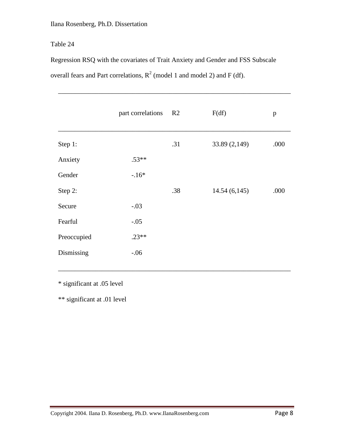## Table 24

Regression RSQ with the covariates of Trait Anxiety and Gender and FSS Subscale overall fears and Part correlations,  $R^2$  (model 1 and model 2) and F (df).

\_\_\_\_\_\_\_\_\_\_\_\_\_\_\_\_\_\_\_\_\_\_\_\_\_\_\_\_\_\_\_\_\_\_\_\_\_\_\_\_\_\_\_\_\_\_\_\_\_\_\_\_\_\_\_\_\_\_\_\_\_\_\_\_\_\_\_\_\_

|             | part correlations | R <sub>2</sub> | F(df)         | $\mathbf{p}$ |
|-------------|-------------------|----------------|---------------|--------------|
| Step 1:     |                   | .31            | 33.89 (2,149) | .000         |
| Anxiety     | $.53**$           |                |               |              |
| Gender      | $-.16*$           |                |               |              |
| Step 2:     |                   | .38            | 14.54(6,145)  | .000         |
| Secure      | $-.03$            |                |               |              |
| Fearful     | $-.05$            |                |               |              |
| Preoccupied | $.23**$           |                |               |              |
| Dismissing  | $-.06$            |                |               |              |

\_\_\_\_\_\_\_\_\_\_\_\_\_\_\_\_\_\_\_\_\_\_\_\_\_\_\_\_\_\_\_\_\_\_\_\_\_\_\_\_\_\_\_\_\_\_\_\_\_\_\_\_\_\_\_\_\_\_\_\_\_\_\_\_\_\_\_\_\_

\* significant at .05 level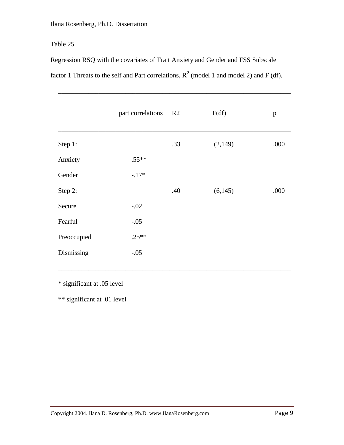## Table 25

Regression RSQ with the covariates of Trait Anxiety and Gender and FSS Subscale factor 1 Threats to the self and Part correlations,  $R^2$  (model 1 and model 2) and F (df).

\_\_\_\_\_\_\_\_\_\_\_\_\_\_\_\_\_\_\_\_\_\_\_\_\_\_\_\_\_\_\_\_\_\_\_\_\_\_\_\_\_\_\_\_\_\_\_\_\_\_\_\_\_\_\_\_\_\_\_\_\_\_\_\_\_\_\_\_\_

|             | part correlations | R2  | F(df)   | $\mathbf{p}$ |
|-------------|-------------------|-----|---------|--------------|
| Step 1:     |                   | .33 | (2,149) | .000         |
| Anxiety     | $.55**$           |     |         |              |
| Gender      | $-.17*$           |     |         |              |
| Step 2:     |                   | .40 | (6,145) | .000         |
| Secure      | $-.02$            |     |         |              |
| Fearful     | $-.05$            |     |         |              |
| Preoccupied | $.25**$           |     |         |              |
| Dismissing  | $-.05$            |     |         |              |

\* significant at .05 level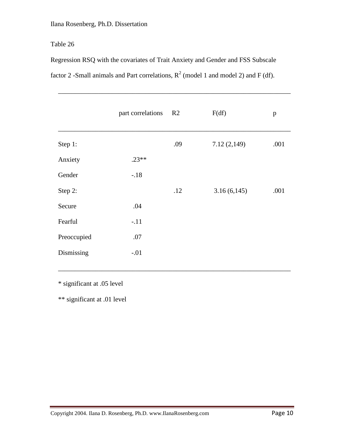## Table 26

Regression RSQ with the covariates of Trait Anxiety and Gender and FSS Subscale factor 2 -Small animals and Part correlations,  $R^2$  (model 1 and model 2) and F (df).

\_\_\_\_\_\_\_\_\_\_\_\_\_\_\_\_\_\_\_\_\_\_\_\_\_\_\_\_\_\_\_\_\_\_\_\_\_\_\_\_\_\_\_\_\_\_\_\_\_\_\_\_\_\_\_\_\_\_\_\_\_\_\_\_\_\_\_\_\_

|             | part correlations | R <sub>2</sub> | F(df)       | $\mathbf{p}$ |
|-------------|-------------------|----------------|-------------|--------------|
| Step 1:     |                   | .09            | 7.12(2,149) | .001         |
| Anxiety     | $.23**$           |                |             |              |
| Gender      | $-.18$            |                |             |              |
| Step 2:     |                   | .12            | 3.16(6,145) | .001         |
| Secure      | .04               |                |             |              |
| Fearful     | $-.11$            |                |             |              |
| Preoccupied | .07               |                |             |              |
| Dismissing  | $-.01$            |                |             |              |

\_\_\_\_\_\_\_\_\_\_\_\_\_\_\_\_\_\_\_\_\_\_\_\_\_\_\_\_\_\_\_\_\_\_\_\_\_\_\_\_\_\_\_\_\_\_\_\_\_\_\_\_\_\_\_\_\_\_\_\_\_\_\_\_\_\_\_\_\_

\* significant at .05 level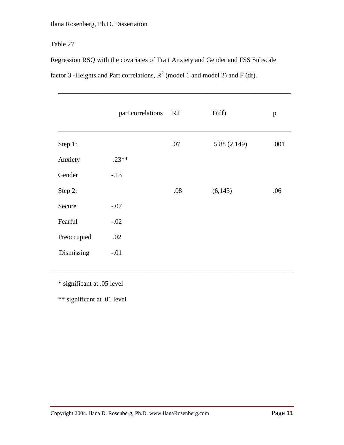## Table 27

Regression RSQ with the covariates of Trait Anxiety and Gender and FSS Subscale factor 3 -Heights and Part correlations,  $R^2$  (model 1 and model 2) and F (df).

\_\_\_\_\_\_\_\_\_\_\_\_\_\_\_\_\_\_\_\_\_\_\_\_\_\_\_\_\_\_\_\_\_\_\_\_\_\_\_\_\_\_\_\_\_\_\_\_\_\_\_\_\_\_\_\_\_\_\_\_\_\_\_\_\_\_\_\_\_

|             | part correlations | R <sub>2</sub> | F(df)       | p    |
|-------------|-------------------|----------------|-------------|------|
| Step 1:     |                   | .07            | 5.88(2,149) | .001 |
| Anxiety     | $.23**$           |                |             |      |
| Gender      | $-.13$            |                |             |      |
| Step 2:     |                   | .08            | (6,145)     | .06  |
| Secure      | $-.07$            |                |             |      |
| Fearful     | $-.02$            |                |             |      |
| Preoccupied | .02               |                |             |      |
| Dismissing  | $-.01$            |                |             |      |

\* significant at .05 level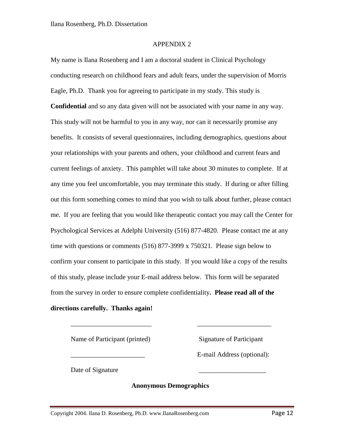#### APPENDIX 2

My name is Ilana Rosenberg and I am a doctoral student in Clinical Psychology conducting research on childhood fears and adult fears, under the supervision of Morris Eagle, Ph.D. Thank you for agreeing to participate in my study. This study is **Confidential** and so any data given will not be associated with your name in any way. This study will not be harmful to you in any way, nor can it necessarily promise any benefits. It consists of several questionnaires, including demographics, questions about your relationships with your parents and others, your childhood and current fears and current feelings of anxiety. This pamphlet will take about 30 minutes to complete. If at any time you feel uncomfortable, you may terminate this study. If during or after filling out this form something comes to mind that you wish to talk about further, please contact me. If you are feeling that you would like therapeutic contact you may call the Center for Psychological Services at Adelphi University (516) 877-4820. Please contact me at any time with questions or comments (516) 877-3999 x 750321. Please sign below to confirm your consent to participate in this study. If you would like a copy of the results of this study, please include your E-mail address below. This form will be separated from the survey in order to ensure complete confidentiality**. Please read all of the** 

#### **directions carefully. Thanks again!**

Name of Participant (printed) Signature of Participant

E-mail Address (optional):

Date of Signature

**Anonymous Demographics**

\_\_\_\_\_\_\_\_\_\_\_\_\_\_\_\_\_\_\_\_\_\_\_\_ \_\_\_\_\_\_\_\_\_\_\_\_\_\_\_\_\_\_\_\_\_\_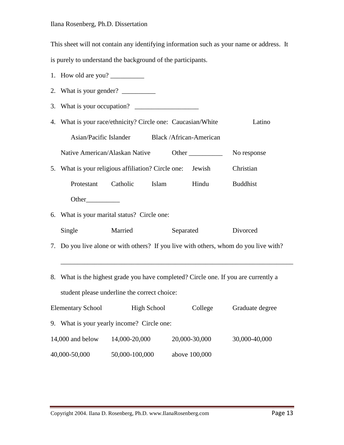This sheet will not contain any identifying information such as your name or address. It is purely to understand the background of the participants.

- 1. How old are you?  $\frac{1}{\sqrt{1-\frac{1}{\sqrt{1-\frac{1}{\sqrt{1-\frac{1}{\sqrt{1-\frac{1}{\sqrt{1-\frac{1}{\sqrt{1-\frac{1}{\sqrt{1-\frac{1}{\sqrt{1-\frac{1}{\sqrt{1-\frac{1}{\sqrt{1-\frac{1}{\sqrt{1-\frac{1}{\sqrt{1-\frac{1}{\sqrt{1-\frac{1}{\sqrt{1-\frac{1}{\sqrt{1-\frac{1}{\sqrt{1-\frac{1}{\sqrt{1-\frac{1}{\sqrt{1-\frac{1}{\sqrt{1-\frac{1}{\sqrt{1-\frac{1}{\sqrt{1-\frac{1}{\sqrt{1-\frac$
- 2. What is your gender?  $\frac{\ }{\ }$
- 3. What is your occupation? \_\_\_\_\_\_\_\_\_\_\_\_\_\_\_\_\_\_\_
- 4. What is your race/ethnicity? Circle one: Caucasian/White Latino Asian/Pacific Islander Black /African-American Native American/Alaskan Native Other No response 5. What is your religious affiliation? Circle one: Jewish Christian Protestant Catholic Islam Hindu Buddhist Other\_\_\_\_\_\_\_\_\_\_
- 6. What is your marital status? Circle one:

| Single | Married | Separated | Divorced |
|--------|---------|-----------|----------|

7. Do you live alone or with others? If you live with others, whom do you live with?

\_\_\_\_\_\_\_\_\_\_\_\_\_\_\_\_\_\_\_\_\_\_\_\_\_\_\_\_\_\_\_\_\_\_\_\_\_\_\_\_\_\_\_\_\_\_\_\_\_\_\_\_\_\_\_\_\_\_\_\_\_\_\_\_\_\_\_\_\_

8. What is the highest grade you have completed? Circle one. If you are currently a student please underline the correct choice:

| <b>Elementary School</b> | High School                                | College       | Graduate degree |
|--------------------------|--------------------------------------------|---------------|-----------------|
|                          | 9. What is your yearly income? Circle one: |               |                 |
| $14,000$ and below       | 14,000-20,000                              | 20,000-30,000 | 30,000-40,000   |
| 40,000-50,000            | 50,000-100,000                             | above 100,000 |                 |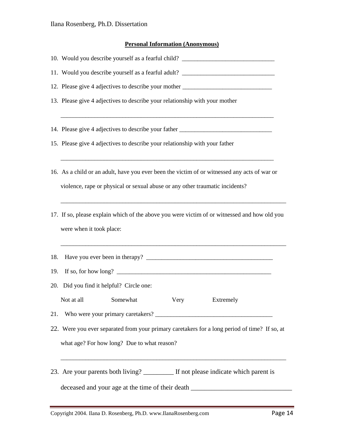#### **Personal Information (Anonymous)**

|                                             | 10. Would you describe yourself as a fearful child? ____________________________                                                                                                                                      |  |  |  |  |
|---------------------------------------------|-----------------------------------------------------------------------------------------------------------------------------------------------------------------------------------------------------------------------|--|--|--|--|
|                                             | 11. Would you describe yourself as a fearful adult? ____________________________                                                                                                                                      |  |  |  |  |
|                                             | 12. Please give 4 adjectives to describe your mother ___________________________                                                                                                                                      |  |  |  |  |
|                                             | 13. Please give 4 adjectives to describe your relationship with your mother                                                                                                                                           |  |  |  |  |
|                                             | 14. Please give 4 adjectives to describe your father ___________________________                                                                                                                                      |  |  |  |  |
|                                             | 15. Please give 4 adjectives to describe your relationship with your father                                                                                                                                           |  |  |  |  |
|                                             | <u> 1989 - Johann John Stone, menydd y gwelennau a gan y gan y gan y gan y gan y gan y gan y gan y gan y gan y ga</u><br>16. As a child or an adult, have you ever been the victim of or witnessed any acts of war or |  |  |  |  |
|                                             | violence, rape or physical or sexual abuse or any other traumatic incidents?                                                                                                                                          |  |  |  |  |
|                                             | 17. If so, please explain which of the above you were victim of or witnessed and how old you                                                                                                                          |  |  |  |  |
|                                             | were when it took place:                                                                                                                                                                                              |  |  |  |  |
| 18.                                         |                                                                                                                                                                                                                       |  |  |  |  |
| 19.                                         |                                                                                                                                                                                                                       |  |  |  |  |
|                                             | 20. Did you find it helpful? Circle one:                                                                                                                                                                              |  |  |  |  |
|                                             | Somewhat<br>Not at all<br>Extremely<br>Very                                                                                                                                                                           |  |  |  |  |
| 21.                                         | Who were your primary caretakers?                                                                                                                                                                                     |  |  |  |  |
|                                             | 22. Were you ever separated from your primary caretakers for a long period of time? If so, at                                                                                                                         |  |  |  |  |
| what age? For how long? Due to what reason? |                                                                                                                                                                                                                       |  |  |  |  |
|                                             | 23. Are your parents both living? __________ If not please indicate which parent is                                                                                                                                   |  |  |  |  |
|                                             |                                                                                                                                                                                                                       |  |  |  |  |